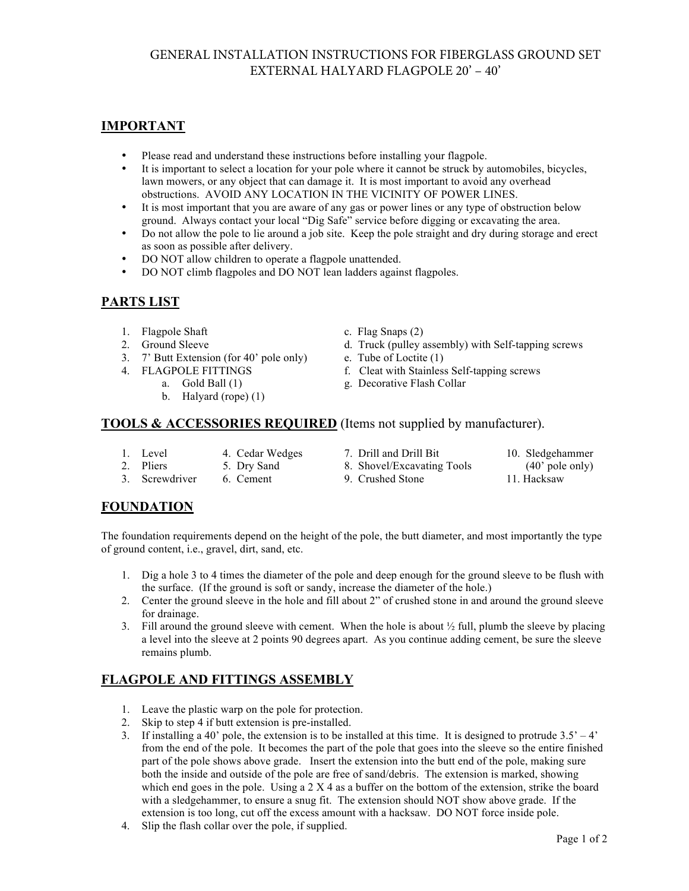## GENERAL INSTALLATION INSTRUCTIONS FOR FIBERGLASS GROUND SET EXTERNAL HALYARD FLAGPOLE 20' – 40'

## **IMPORTANT**

- Please read and understand these instructions before installing your flagpole.
- It is important to select a location for your pole where it cannot be struck by automobiles, bicycles, lawn mowers, or any object that can damage it. It is most important to avoid any overhead obstructions. AVOID ANY LOCATION IN THE VICINITY OF POWER LINES.
- It is most important that you are aware of any gas or power lines or any type of obstruction below ground. Always contact your local "Dig Safe" service before digging or excavating the area.
- Do not allow the pole to lie around a job site. Keep the pole straight and dry during storage and erect as soon as possible after delivery.
- DO NOT allow children to operate a flagpole unattended.
- DO NOT climb flagpoles and DO NOT lean ladders against flagpoles.

# **PARTS LIST**

- 1. Flagpole Shaft c. Flag Snaps (2)
- 
- 3. 7' Butt Extension (for 40' pole only) e. Tube of Loctite (1)
	-
	- - b. Halyard (rope) (1)

- 2. Ground Sleeve d. Truck (pulley assembly) with Self-tapping screws
	-
- 4. FLAGPOLE FITTINGS f. Cleat with Stainless Self-tapping screws
	- a. Gold Ball (1) g. Decorative Flash Collar

## **TOOLS & ACCESSORIES REQUIRED** (Items not supplied by manufacturer).

- 1. Level 4. Cedar Wedges 7. Drill and Drill Bit 10. Sledgehammer
	-
- 2. Pliers 5. Dry Sand 8. Shovel/Excavating Tools (40' pole only)
	-
- 3. Screwdriver 6. Cement 9. Crushed Stone 11. Hacksaw
- 

## **FOUNDATION**

The foundation requirements depend on the height of the pole, the butt diameter, and most importantly the type of ground content, i.e., gravel, dirt, sand, etc.

- 1. Dig a hole 3 to 4 times the diameter of the pole and deep enough for the ground sleeve to be flush with the surface. (If the ground is soft or sandy, increase the diameter of the hole.)
- 2. Center the ground sleeve in the hole and fill about 2" of crushed stone in and around the ground sleeve for drainage.
- 3. Fill around the ground sleeve with cement. When the hole is about  $\frac{1}{2}$  full, plumb the sleeve by placing a level into the sleeve at 2 points 90 degrees apart. As you continue adding cement, be sure the sleeve remains plumb.

## **FLAGPOLE AND FITTINGS ASSEMBLY**

- 1. Leave the plastic warp on the pole for protection.
- 2. Skip to step 4 if butt extension is pre-installed.
- 3. If installing a 40' pole, the extension is to be installed at this time. It is designed to protrude  $3.5' 4'$ from the end of the pole. It becomes the part of the pole that goes into the sleeve so the entire finished part of the pole shows above grade. Insert the extension into the butt end of the pole, making sure both the inside and outside of the pole are free of sand/debris. The extension is marked, showing which end goes in the pole. Using a  $2 \times 4$  as a buffer on the bottom of the extension, strike the board with a sledgehammer, to ensure a snug fit. The extension should NOT show above grade. If the extension is too long, cut off the excess amount with a hacksaw. DO NOT force inside pole.
- 4. Slip the flash collar over the pole, if supplied.